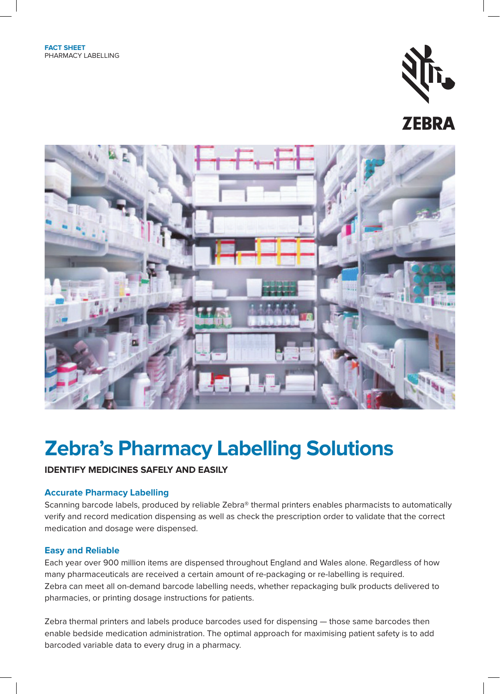

# **ZEBRA**



# **Zebra's Pharmacy Labelling Solutions**

## **IDENTIFY MEDICINES SAFELY AND EASILY**

### **Accurate Pharmacy Labelling**

Scanning barcode labels, produced by reliable Zebra® thermal printers enables pharmacists to automatically verify and record medication dispensing as well as check the prescription order to validate that the correct medication and dosage were dispensed.

#### **Easy and Reliable**

Each year over 900 million items are dispensed throughout England and Wales alone. Regardless of how many pharmaceuticals are received a certain amount of re-packaging or re-labelling is required. Zebra can meet all on-demand barcode labelling needs, whether repackaging bulk products delivered to pharmacies, or printing dosage instructions for patients.

Zebra thermal printers and labels produce barcodes used for dispensing — those same barcodes then enable bedside medication administration. The optimal approach for maximising patient safety is to add barcoded variable data to every drug in a pharmacy.